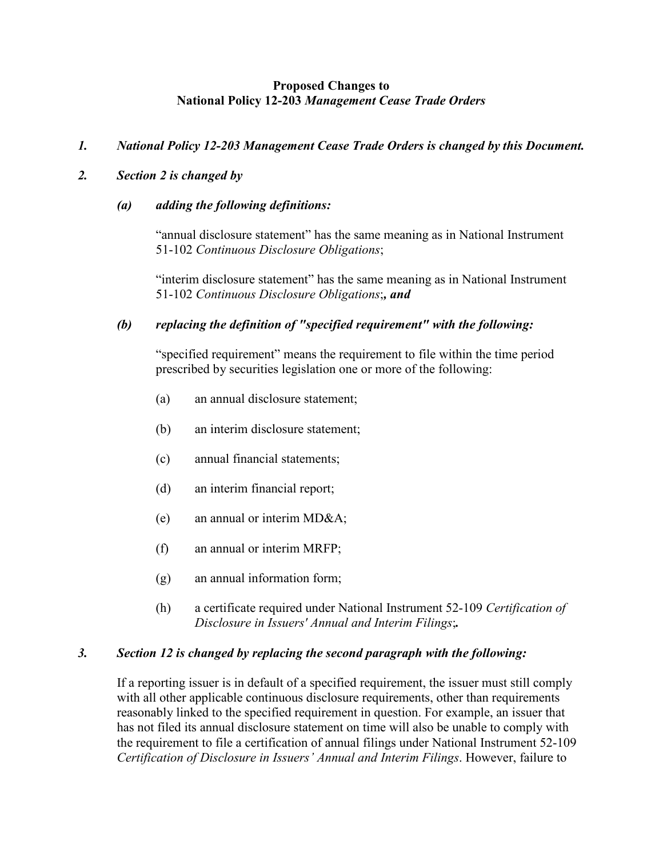### **Proposed Changes to National Policy 12-203** *Management Cease Trade Orders*

# *1. National Policy 12-203 Management Cease Trade Orders is changed by this Document.*

## *2. Section 2 is changed by*

### *(a) adding the following definitions:*

"annual disclosure statement" has the same meaning as in National Instrument 51-102 *Continuous Disclosure Obligations*;

"interim disclosure statement" has the same meaning as in National Instrument 51-102 *Continuous Disclosure Obligations*;*, and* 

# *(b) replacing the definition of "specified requirement" with the following:*

"specified requirement" means the requirement to file within the time period prescribed by securities legislation one or more of the following:

- (a) an annual disclosure statement;
- (b) an interim disclosure statement;
- (c) annual financial statements;
- (d) an interim financial report;
- (e) an annual or interim MD&A;
- (f) an annual or interim MRFP;
- (g) an annual information form;
- (h) a certificate required under National Instrument 52-109 *Certification of Disclosure in Issuers' Annual and Interim Filings*;*.*

#### *3. Section 12 is changed by replacing the second paragraph with the following:*

If a reporting issuer is in default of a specified requirement, the issuer must still comply with all other applicable continuous disclosure requirements, other than requirements reasonably linked to the specified requirement in question. For example, an issuer that has not filed its annual disclosure statement on time will also be unable to comply with the requirement to file a certification of annual filings under National Instrument 52-109 *Certification of Disclosure in Issuers' Annual and Interim Filings*. However, failure to